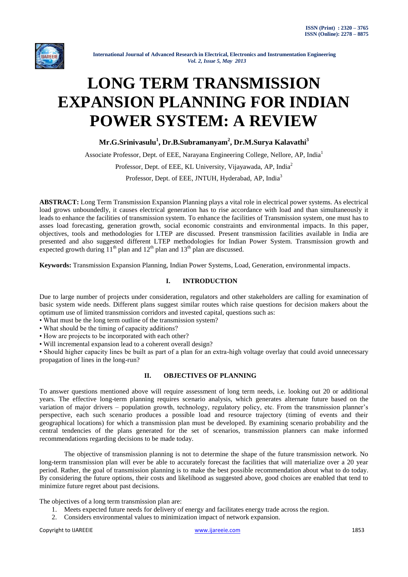

# **LONG TERM TRANSMISSION EXPANSION PLANNING FOR INDIAN POWER SYSTEM: A REVIEW**

**Mr.G.Srinivasulu<sup>1</sup> , Dr.B.Subramanyam<sup>2</sup> , Dr.M.Surya Kalavathi<sup>3</sup>**

Associate Professor, Dept. of EEE, Narayana Engineering College, Nellore, AP, India<sup>1</sup>

Professor, Dept. of EEE, KL University, Vijayawada, AP, India<sup>2</sup>

Professor, Dept. of EEE, JNTUH, Hyderabad, AP, India<sup>3</sup>

**ABSTRACT:** Long Term Transmission Expansion Planning plays a vital role in electrical power systems. As electrical load grows unboundedly, it causes electrical generation has to rise accordance with load and than simultaneously it leads to enhance the facilities of transmission system. To enhance the facilities of Transmission system, one must has to asses load forecasting, generation growth, social economic constraints and environmental impacts. In this paper, objectives, tools and methodologies for LTEP are discussed. Present transmission facilities available in India are presented and also suggested different LTEP methodologies for Indian Power System. Transmission growth and expected growth during  $11<sup>th</sup>$  plan and  $12<sup>th</sup>$  plan and  $13<sup>th</sup>$  plan are discussed.

**Keywords:** Transmission Expansion Planning, Indian Power Systems, Load, Generation, environmental impacts.

## **I. INTRODUCTION**

Due to large number of projects under consideration, regulators and other stakeholders are calling for examination of basic system wide needs. Different plans suggest similar routes which raise questions for decision makers about the optimum use of limited transmission corridors and invested capital, questions such as:

- What must be the long term outline of the transmission system?
- What should be the timing of capacity additions?
- How are projects to be incorporated with each other?

• Will incremental expansion lead to a coherent overall design?

• Should higher capacity lines be built as part of a plan for an extra-high voltage overlay that could avoid unnecessary propagation of lines in the long-run?

#### **II. OBJECTIVES OF PLANNING**

To answer questions mentioned above will require assessment of long term needs, i.e. looking out 20 or additional years. The effective long-term planning requires scenario analysis, which generates alternate future based on the variation of major drivers – population growth, technology, regulatory policy, etc. From the transmission planner's perspective, each such scenario produces a possible load and resource trajectory (timing of events and their geographical locations) for which a transmission plan must be developed. By examining scenario probability and the central tendencies of the plans generated for the set of scenarios, transmission planners can make informed recommendations regarding decisions to be made today.

The objective of transmission planning is not to determine the shape of the future transmission network. No long-term transmission plan will ever be able to accurately forecast the facilities that will materialize over a 20 year period. Rather, the goal of transmission planning is to make the best possible recommendation about what to do today. By considering the future options, their costs and likelihood as suggested above, good choices are enabled that tend to minimize future regret about past decisions.

The objectives of a long term transmission plan are:

- 1. Meets expected future needs for delivery of energy and facilitates energy trade across the region.
- 2. Considers environmental values to minimization impact of network expansion.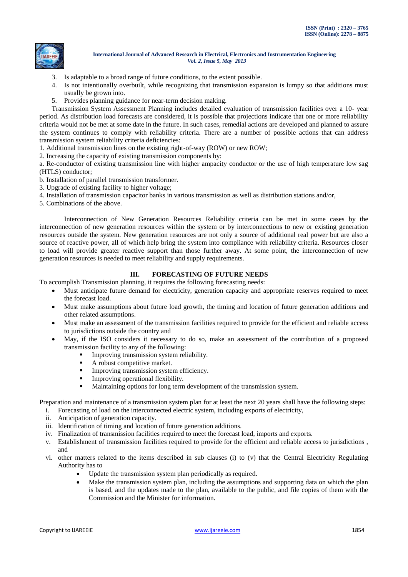

- 3. Is adaptable to a broad range of future conditions, to the extent possible.
- 4. Is not intentionally overbuilt, while recognizing that transmission expansion is lumpy so that additions must usually be grown into.
- 5. Provides planning guidance for near-term decision making.

Transmission System Assessment Planning includes detailed evaluation of transmission facilities over a 10- year period. As distribution load forecasts are considered, it is possible that projections indicate that one or more reliability criteria would not be met at some date in the future. In such cases, remedial actions are developed and planned to assure the system continues to comply with reliability criteria. There are a number of possible actions that can address transmission system reliability criteria deficiencies:

1. Additional transmission lines on the existing right-of-way (ROW) or new ROW;

2. Increasing the capacity of existing transmission components by:

a. Re-conductor of existing transmission line with higher ampacity conductor or the use of high temperature low sag

(HTLS) conductor;

- b. Installation of parallel transmission transformer.
- 3. Upgrade of existing facility to higher voltage;
- 4. Installation of transmission capacitor banks in various transmission as well as distribution stations and/or,
- 5. Combinations of the above.

Interconnection of New Generation Resources Reliability criteria can be met in some cases by the interconnection of new generation resources within the system or by interconnections to new or existing generation resources outside the system. New generation resources are not only a source of additional real power but are also a source of reactive power, all of which help bring the system into compliance with reliability criteria. Resources closer to load will provide greater reactive support than those further away. At some point, the interconnection of new generation resources is needed to meet reliability and supply requirements.

## **III. FORECASTING OF FUTURE NEEDS**

To accomplish Transmission planning, it requires the following forecasting needs:

- Must anticipate future demand for electricity, generation capacity and appropriate reserves required to meet the forecast load.
- Must make assumptions about future load growth, the timing and location of future generation additions and other related assumptions.
- Must make an assessment of the transmission facilities required to provide for the efficient and reliable access to jurisdictions outside the country and
- May, if the ISO considers it necessary to do so, make an assessment of the contribution of a proposed transmission facility to any of the following:
	- **Improving transmission system reliability.**
	- A robust competitive market.
	- **Improving transmission system efficiency.**
	- **Improving operational flexibility.**
	- Maintaining options for long term development of the transmission system.

Preparation and maintenance of a transmission system plan for at least the next 20 years shall have the following steps:

- i. Forecasting of load on the interconnected electric system, including exports of electricity,
- ii. Anticipation of generation capacity.
- iii. Identification of timing and location of future generation additions.
- iv. Finalization of transmission facilities required to meet the forecast load, imports and exports.
- v. Establishment of transmission facilities required to provide for the efficient and reliable access to jurisdictions , and
- vi. other matters related to the items described in sub clauses (i) to (v) that the Central Electricity Regulating Authority has to
	- Update the transmission system plan periodically as required.
	- Make the transmission system plan, including the assumptions and supporting data on which the plan is based, and the updates made to the plan, available to the public, and file copies of them with the Commission and the Minister for information.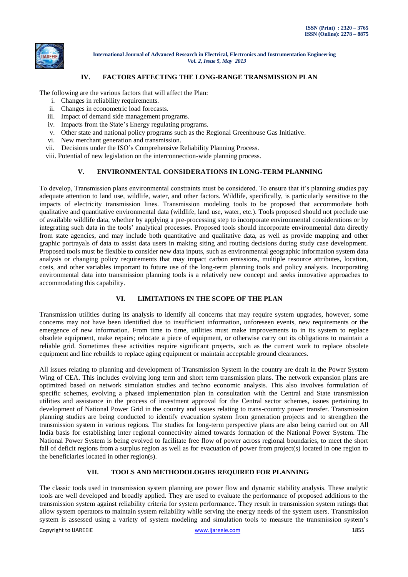

#### **IV. FACTORS AFFECTING THE LONG-RANGE TRANSMISSION PLAN**

The following are the various factors that will affect the Plan:

- i. Changes in reliability requirements.
- ii. Changes in econometric load forecasts.
- iii. Impact of demand side management programs.
- iv. Impacts from the State's Energy regulating programs.
- v. Other state and national policy programs such as the Regional Greenhouse Gas Initiative.
- vi. New merchant generation and transmission.
- vii. Decisions under the ISO's Comprehensive Reliability Planning Process.
- viii. Potential of new legislation on the interconnection-wide planning process.

#### **V. ENVIRONMENTAL CONSIDERATIONS IN LONG-TERM PLANNING**

To develop, Transmission plans environmental constraints must be considered. To ensure that it's planning studies pay adequate attention to land use, wildlife, water, and other factors. Wildlife, specifically, is particularly sensitive to the impacts of electricity transmission lines. Transmission modeling tools to be proposed that accommodate both qualitative and quantitative environmental data (wildlife, land use, water, etc.). Tools proposed should not preclude use of available wildlife data, whether by applying a pre-processing step to incorporate environmental considerations or by integrating such data in the tools' analytical processes. Proposed tools should incorporate environmental data directly from state agencies, and may include both quantitative and qualitative data, as well as provide mapping and other graphic portrayals of data to assist data users in making siting and routing decisions during study case development. Proposed tools must be flexible to consider new data inputs, such as environmental geographic information system data analysis or changing policy requirements that may impact carbon emissions, multiple resource attributes, location, costs, and other variables important to future use of the long-term planning tools and policy analysis. Incorporating environmental data into transmission planning tools is a relatively new concept and seeks innovative approaches to accommodating this capability.

#### **VI. LIMITATIONS IN THE SCOPE OF THE PLAN**

Transmission utilities during its analysis to identify all concerns that may require system upgrades, however, some concerns may not have been identified due to insufficient information, unforeseen events, new requirements or the emergence of new information. From time to time, utilities must make improvements to in its system to replace obsolete equipment, make repairs; relocate a piece of equipment, or otherwise carry out its obligations to maintain a reliable grid. Sometimes these activities require significant projects, such as the current work to replace obsolete equipment and line rebuilds to replace aging equipment or maintain acceptable ground clearances.

All issues relating to planning and development of Transmission System in the country are dealt in the Power System Wing of CEA. This includes evolving long term and short term transmission plans. The network expansion plans are optimized based on network simulation studies and techno economic analysis. This also involves formulation of specific schemes, evolving a phased implementation plan in consultation with the Central and State transmission utilities and assistance in the process of investment approval for the Central sector schemes, issues pertaining to development of National Power Grid in the country and issues relating to trans-country power transfer. Transmission planning studies are being conducted to identify evacuation system from generation projects and to strengthen the transmission system in various regions. The studies for long-term perspective plans are also being carried out on All India basis for establishing inter regional connectivity aimed towards formation of the National Power System. The National Power System is being evolved to facilitate free flow of power across regional boundaries, to meet the short fall of deficit regions from a surplus region as well as for evacuation of power from project(s) located in one region to the beneficiaries located in other region(s).

## **VII. TOOLS AND METHODOLOGIES REQUIRED FOR PLANNING**

The classic tools used in transmission system planning are power flow and dynamic stability analysis. These analytic tools are well developed and broadly applied. They are used to evaluate the performance of proposed additions to the transmission system against reliability criteria for system performance. They result in transmission system ratings that allow system operators to maintain system reliability while serving the energy needs of the system users. Transmission system is assessed using a variety of system modeling and simulation tools to measure the transmission system's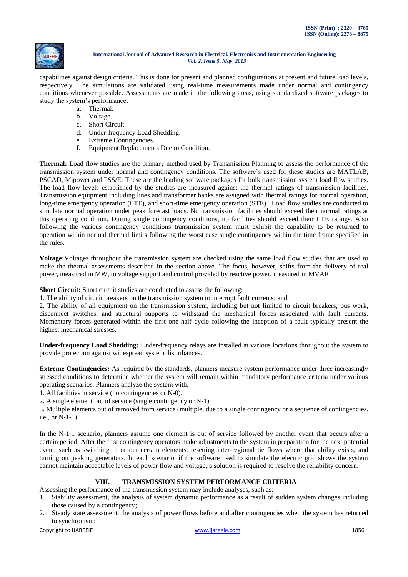

capabilities against design criteria. This is done for present and planned configurations at present and future load levels, respectively. The simulations are validated using real-time measurements made under normal and contingency conditions whenever possible. Assessments are made in the following areas, using standardized software packages to study the system's performance:

- a. Thermal.
- b. Voltage.
- c. Short Circuit.
- d. Under-frequency Load Shedding.
- e. Extreme Contingencies.
- f. Equipment Replacements Due to Condition.

**Thermal:** Load flow studies are the primary method used by Transmission Planning to assess the performance of the transmission system under normal and contingency conditions. The software's used for these studies are MATLAB, PSCAD, Mipower and PSS/E. These are the leading software packages for bulk transmission system load flow studies. The load flow levels established by the studies are measured against the thermal ratings of transmission facilities. Transmission equipment including lines and transformer banks are assigned with thermal ratings for normal operation, long-time emergency operation (LTE), and short-time emergency operation (STE). Load flow studies are conducted to simulate normal operation under peak forecast loads. No transmission facilities should exceed their normal ratings at this operating condition. During single contingency conditions, no facilities should exceed their LTE ratings. Also following the various contingency conditions transmission system must exhibit the capability to be returned to operation within normal thermal limits following the worst case single contingency within the time frame specified in the rules.

**Voltage:**Voltages throughout the transmission system are checked using the same load flow studies that are used to make the thermal assessments described in the section above. The focus, however, shifts from the delivery of real power, measured in MW, to voltage support and control provided by reactive power, measured in MVAR.

**Short Circuit:** Short circuit studies are conducted to assess the following:

1. The ability of circuit breakers on the transmission system to interrupt fault currents; and

2. The ability of all equipment on the transmission system, including but not limited to circuit breakers, bus work, disconnect switches, and structural supports to withstand the mechanical forces associated with fault currents. Momentary forces generated within the first one-half cycle following the inception of a fault typically present the highest mechanical stresses.

**Under-frequency Load Shedding:** Under-frequency relays are installed at various locations throughout the system to provide protection against widespread system disturbances.

**Extreme Contingencies:** As required by the standards, planners measure system performance under three increasingly stressed conditions to determine whether the system will remain within mandatory performance criteria under various operating scenarios. Planners analyze the system with:

1. All facilities in service (no contingencies or N‐0).

2. A single element out of service (single contingency or N‐1).

3. Multiple elements out of removed from service (multiple, due to a single contingency or a sequence of contingencies, i.e., or N‐1‐1).

In the N-1-1 scenario, planners assume one element is out of service followed by another event that occurs after a certain period. After the first contingency operators make adjustments to the system in preparation for the next potential event, such as switching in or out certain elements, resetting inter‐regional tie flows where that ability exists, and turning on peaking generators. In each scenario, if the software used to simulate the electric grid shows the system cannot maintain acceptable levels of power flow and voltage, a solution is required to resolve the reliability concern.

## **VIII. TRANSMISSION SYSTEM PERFORMANCE CRITERIA**

Assessing the performance of the transmission system may include analyses, such as:

- 1. Stability assessment, the analysis of system dynamic performance as a result of sudden system changes including those caused by a contingency;
- 2. Steady state assessment, the analysis of power flows before and after contingencies when the system has returned to synchronism;

Copyright to IJAREEIE [www.ijareeie.com](http://www.ijareeie.com/) 1856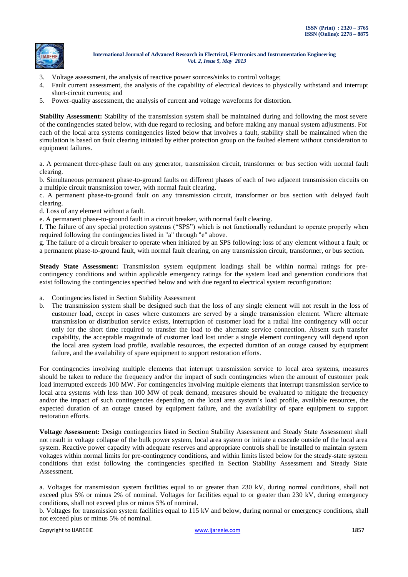

- 3. Voltage assessment, the analysis of reactive power sources/sinks to control voltage;
- 4. Fault current assessment, the analysis of the capability of electrical devices to physically withstand and interrupt short-circuit currents; and
- 5. Power-quality assessment, the analysis of current and voltage waveforms for distortion.

**Stability Assessment:** Stability of the transmission system shall be maintained during and following the most severe of the contingencies stated below, with due regard to reclosing, and before making any manual system adjustments. For each of the local area systems contingencies listed below that involves a fault, stability shall be maintained when the simulation is based on fault clearing initiated by either protection group on the faulted element without consideration to equipment failures.

a. A permanent three-phase fault on any generator, transmission circuit, transformer or bus section with normal fault clearing.

b. Simultaneous permanent phase-to-ground faults on different phases of each of two adjacent transmission circuits on a multiple circuit transmission tower, with normal fault clearing.

c. A permanent phase-to-ground fault on any transmission circuit, transformer or bus section with delayed fault clearing.

d. Loss of any element without a fault.

e. A permanent phase-to-ground fault in a circuit breaker, with normal fault clearing.

f. The failure of any special protection systems ("SPS") which is not functionally redundant to operate properly when required following the contingencies listed in "a" through "e" above.

g. The failure of a circuit breaker to operate when initiated by an SPS following: loss of any element without a fault; or a permanent phase-to-ground fault, with normal fault clearing, on any transmission circuit, transformer, or bus section.

**Steady State Assessment:** Transmission system equipment loadings shall be within normal ratings for precontingency conditions and within applicable emergency ratings for the system load and generation conditions that exist following the contingencies specified below and with due regard to electrical system reconfiguration:

- a. Contingencies listed in Section Stability Assessment
- b. The transmission system shall be designed such that the loss of any single element will not result in the loss of customer load, except in cases where customers are served by a single transmission element. Where alternate transmission or distribution service exists, interruption of customer load for a radial line contingency will occur only for the short time required to transfer the load to the alternate service connection. Absent such transfer capability, the acceptable magnitude of customer load lost under a single element contingency will depend upon the local area system load profile, available resources, the expected duration of an outage caused by equipment failure, and the availability of spare equipment to support restoration efforts.

For contingencies involving multiple elements that interrupt transmission service to local area systems, measures should be taken to reduce the frequency and/or the impact of such contingencies when the amount of customer peak load interrupted exceeds 100 MW. For contingencies involving multiple elements that interrupt transmission service to local area systems with less than 100 MW of peak demand, measures should be evaluated to mitigate the frequency and/or the impact of such contingencies depending on the local area system's load profile, available resources, the expected duration of an outage caused by equipment failure, and the availability of spare equipment to support restoration efforts.

**Voltage Assessment:** Design contingencies listed in Section Stability Assessment and Steady State Assessment shall not result in voltage collapse of the bulk power system, local area system or initiate a cascade outside of the local area system. Reactive power capacity with adequate reserves and appropriate controls shall be installed to maintain system voltages within normal limits for pre-contingency conditions, and within limits listed below for the steady-state system conditions that exist following the contingencies specified in Section Stability Assessment and Steady State Assessment.

a. Voltages for transmission system facilities equal to or greater than 230 kV, during normal conditions, shall not exceed plus 5% or minus 2% of nominal. Voltages for facilities equal to or greater than 230 kV, during emergency conditions, shall not exceed plus or minus 5% of nominal.

b. Voltages for transmission system facilities equal to 115 kV and below, during normal or emergency conditions, shall not exceed plus or minus 5% of nominal.

Copyright to IJAREEIE [www.ijareeie.com](http://www.ijareeie.com/) 1857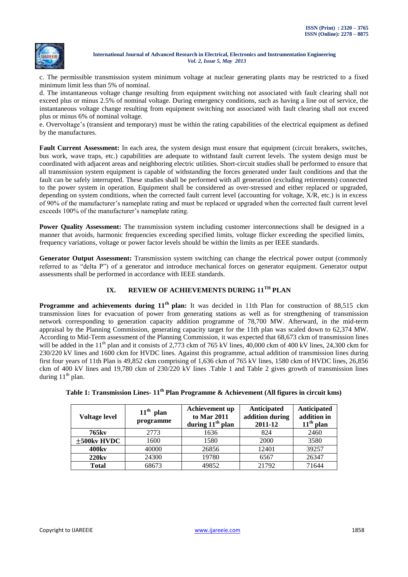

c. The permissible transmission system minimum voltage at nuclear generating plants may be restricted to a fixed minimum limit less than 5% of nominal.

d. The instantaneous voltage change resulting from equipment switching not associated with fault clearing shall not exceed plus or minus 2.5% of nominal voltage. During emergency conditions, such as having a line out of service, the instantaneous voltage change resulting from equipment switching not associated with fault clearing shall not exceed plus or minus 6% of nominal voltage.

e. Overvoltage's (transient and temporary) must be within the rating capabilities of the electrical equipment as defined by the manufactures.

**Fault Current Assessment:** In each area, the system design must ensure that equipment (circuit breakers, switches, bus work, wave traps, etc.) capabilities are adequate to withstand fault current levels. The system design must be coordinated with adjacent areas and neighboring electric utilities. Short-circuit studies shall be performed to ensure that all transmission system equipment is capable of withstanding the forces generated under fault conditions and that the fault can be safely interrupted. These studies shall be performed with all generation (excluding retirements) connected to the power system in operation. Equipment shall be considered as over-stressed and either replaced or upgraded, depending on system conditions, when the corrected fault current level (accounting for voltage, X/R, etc.) is in excess of 90% of the manufacturer's nameplate rating and must be replaced or upgraded when the corrected fault current level exceeds 100% of the manufacturer's nameplate rating.

**Power Quality Assessment:** The transmission system including customer interconnections shall be designed in a manner that avoids, harmonic frequencies exceeding specified limits, voltage flicker exceeding the specified limits, frequency variations, voltage or power factor levels should be within the limits as per IEEE standards.

**Generator Output Assessment:** Transmission system switching can change the electrical power output (commonly referred to as "delta P") of a generator and introduce mechanical forces on generator equipment. Generator output assessments shall be performed in accordance with IEEE standards.

# **IX. REVIEW OF ACHIEVEMENTS DURING 11TH PLAN**

**Programme and achievements during 11th plan:** It was decided in 11th Plan for construction of 88,515 ckm transmission lines for evacuation of power from generating stations as well as for strengthening of transmission network corresponding to generation capacity addition programme of 78,700 MW. Afterward, in the mid-term appraisal by the Planning Commission, generating capacity target for the 11th plan was scaled down to 62,374 MW. According to Mid-Term assessment of the Planning Commission, it was expected that 68,673 ckm of transmission lines will be added in the  $11<sup>th</sup>$  plan and it consists of 2,773 ckm of 765 kV lines, 40,000 ckm of 400 kV lines, 24,300 ckm for 230/220 kV lines and 1600 ckm for HVDC lines. Against this programme, actual addition of transmission lines during first four years of 11th Plan is 49,852 ckm comprising of 1,636 ckm of 765 kV lines, 1580 ckm of HVDC lines, 26,856 ckm of 400 kV lines and 19,780 ckm of 230/220 kV lines .Table 1 and Table 2 gives growth of transmission lines during  $11<sup>th</sup>$  plan.

| Voltage level     | $11th$ plan<br>programme | Achievement up<br>to Mar 2011<br>during $11th$ plan | Anticipated<br>addition during<br>2011-12 | Anticipated<br>addition in<br>$11th$ plan |
|-------------------|--------------------------|-----------------------------------------------------|-------------------------------------------|-------------------------------------------|
| 765kv             | 2773                     | 1636                                                | 824                                       | 2460                                      |
| $\pm$ 500kv HVDC  | 1600                     | 1580                                                | 2000                                      | 3580                                      |
| 400 <sub>kv</sub> | 40000                    | 26856                                               | 12401                                     | 39257                                     |
| <b>220kv</b>      | 24300                    | 19780                                               | 6567                                      | 26347                                     |
| <b>Total</b>      | 68673                    | 49852                                               | 21792                                     | 71644                                     |

**Table 1: Transmission Lines- 11th Plan Programme & Achievement (All figures in circuit kms)**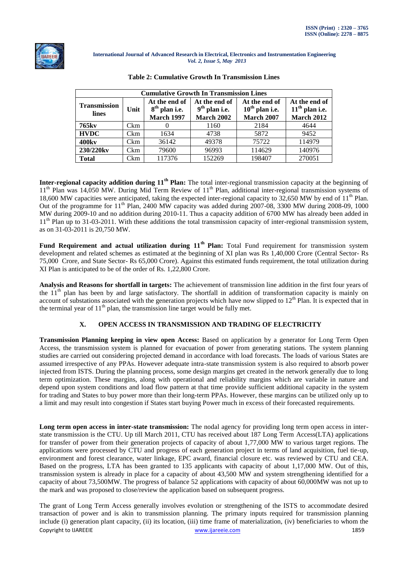

| <b>Cumulative Growth In Transmission Lines</b> |            |                                                       |                                                       |                                                        |                                                        |
|------------------------------------------------|------------|-------------------------------------------------------|-------------------------------------------------------|--------------------------------------------------------|--------------------------------------------------------|
| <b>Transmission</b><br><b>lines</b>            | Unit       | At the end of<br>$8th$ plan i.e.<br><b>March 1997</b> | At the end of<br>$9th$ plan i.e.<br><b>March 2002</b> | At the end of<br>$10th$ plan i.e.<br><b>March 2007</b> | At the end of<br>$11th$ plan i.e.<br><b>March 2012</b> |
| 765kv                                          | <b>Ckm</b> |                                                       | 1160                                                  | 2184                                                   | 4644                                                   |
| <b>HVDC</b>                                    | <b>Ckm</b> | 1634                                                  | 4738                                                  | 5872                                                   | 9452                                                   |
| 400 <sub>kv</sub>                              | <b>Ckm</b> | 36142                                                 | 49378                                                 | 75722                                                  | 114979                                                 |
| 230/220kv                                      | <b>Ckm</b> | 79600                                                 | 96993                                                 | 114629                                                 | 140976                                                 |
| <b>Total</b>                                   | Ckm        | 117376                                                | 152269                                                | 198407                                                 | 270051                                                 |

|  | <b>Table 2: Cumulative Growth In Transmission Lines</b> |  |
|--|---------------------------------------------------------|--|
|  |                                                         |  |

**Inter-regional capacity addition during 11th Plan:** The total inter-regional transmission capacity at the beginning of  $11<sup>th</sup>$  Plan was 14,050 MW. During Mid Term Review of  $11<sup>th</sup>$  Plan, additional inter-regional transmission systems of 18,600 MW capacities were anticipated, taking the expected inter-regional capacity to  $32,650$  MW by end of  $11<sup>th</sup>$  Plan. Out of the programme for  $11<sup>th</sup>$  Plan, 2400 MW capacity was added during 2007-08, 3300 MW during 2008-09, 1000 MW during 2009-10 and no addition during 2010-11. Thus a capacity addition of 6700 MW has already been added in  $11<sup>th</sup>$  Plan up to 31-03-2011. With these additions the total transmission capacity of inter-regional transmission system, as on 31-03-2011 is 20,750 MW.

**Fund Requirement and actual utilization during 11th Plan:** Total Fund requirement for transmission system development and related schemes as estimated at the beginning of XI plan was Rs 1,40,000 Crore (Central Sector- Rs 75,000 Crore, and State Sector- Rs 65,000 Crore). Against this estimated funds requirement, the total utilization during XI Plan is anticipated to be of the order of Rs. 1,22,800 Crore.

**Analysis and Reasons for shortfall in targets:** The achievement of transmission line addition in the first four years of the  $11<sup>th</sup>$  plan has been by and large satisfactory. The shortfall in addition of transformation capacity is mainly on account of substations associated with the generation projects which have now slipped to  $12<sup>th</sup>$  Plan. It is expected that in the terminal year of  $11<sup>th</sup>$  plan, the transmission line target would be fully met.

## **X. OPEN ACCESS IN TRANSMISSION AND TRADING OF ELECTRICITY**

**Transmission Planning keeping in view open Access:** Based on application by a generator for Long Term Open Access, the transmission system is planned for evacuation of power from generating stations. The system planning studies are carried out considering projected demand in accordance with load forecasts. The loads of various States are assumed irrespective of any PPAs. However adequate intra-state transmission system is also required to absorb power injected from ISTS. During the planning process, some design margins get created in the network generally due to long term optimization. These margins, along with operational and reliability margins which are variable in nature and depend upon system conditions and load flow pattern at that time provide sufficient additional capacity in the system for trading and States to buy power more than their long-term PPAs. However, these margins can be utilized only up to a limit and may result into congestion if States start buying Power much in excess of their forecasted requirements.

**Long term open access in inter-state transmission:** The nodal agency for providing long term open access in interstate transmission is the CTU. Up till March 2011, CTU has received about 187 Long Term Access(LTA) applications for transfer of power from their generation projects of capacity of about 1,77,000 MW to various target regions. The applications were processed by CTU and progress of each generation project in terms of land acquisition, fuel tie-up, environment and forest clearance, water linkage, EPC award, financial closure etc. was reviewed by CTU and CEA. Based on the progress, LTA has been granted to 135 applicants with capacity of about 1,17,000 MW. Out of this, transmission system is already in place for a capacity of about 43,500 MW and system strengthening identified for a capacity of about 73,500MW. The progress of balance 52 applications with capacity of about 60,000MW was not up to the mark and was proposed to close/review the application based on subsequent progress.

Copyright to IJAREEIE [www.ijareeie.com](http://www.ijareeie.com/) 1859 The grant of Long Term Access generally involves evolution or strengthening of the ISTS to accommodate desired transaction of power and is akin to transmission planning. The primary inputs required for transmission planning include (i) generation plant capacity, (ii) its location, (iii) time frame of materialization, (iv) beneficiaries to whom the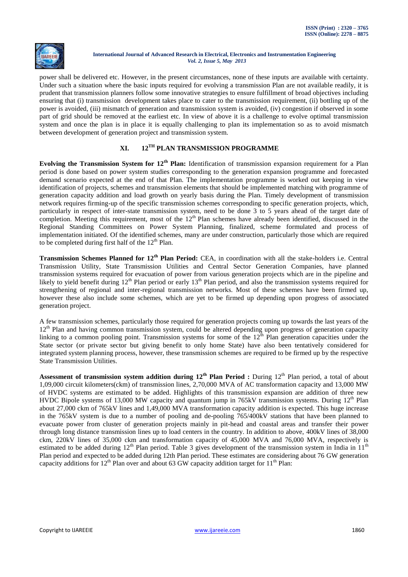

power shall be delivered etc. However, in the present circumstances, none of these inputs are available with certainty. Under such a situation where the basic inputs required for evolving a transmission Plan are not available readily, it is prudent that transmission planners follow some innovative strategies to ensure fulfillment of broad objectives including ensuring that (i) transmission development takes place to cater to the transmission requirement, (ii) bottling up of the power is avoided, (iii) mismatch of generation and transmission system is avoided, (iv) congestion if observed in some part of grid should be removed at the earliest etc. In view of above it is a challenge to evolve optimal transmission system and once the plan is in place it is equally challenging to plan its implementation so as to avoid mismatch between development of generation project and transmission system.

# **XI. 12TH PLAN TRANSMISSION PROGRAMME**

**Evolving the Transmission System for 12th Plan:** Identification of transmission expansion requirement for a Plan period is done based on power system studies corresponding to the generation expansion programme and forecasted demand scenario expected at the end of that Plan. The implementation programme is worked out keeping in view identification of projects, schemes and transmission elements that should be implemented matching with programme of generation capacity addition and load growth on yearly basis during the Plan. Timely development of transmission network requires firming-up of the specific transmission schemes corresponding to specific generation projects, which, particularly in respect of inter-state transmission system, need to be done 3 to 5 years ahead of the target date of completion. Meeting this requirement, most of the  $12<sup>th</sup>$  Plan schemes have already been identified, discussed in the Regional Standing Committees on Power System Planning, finalized, scheme formulated and process of implementation initiated. Of the identified schemes, many are under construction, particularly those which are required to be completed during first half of the  $12<sup>th</sup>$  Plan.

**Transmission Schemes Planned for 12th Plan Period:** CEA, in coordination with all the stake-holders i.e. Central Transmission Utility, State Transmission Utilities and Central Sector Generation Companies, have planned transmission systems required for evacuation of power from various generation projects which are in the pipeline and likely to yield benefit during  $12<sup>th</sup>$  Plan period or early  $13<sup>th</sup>$  Plan period, and also the transmission systems required for strengthening of regional and inter-regional transmission networks. Most of these schemes have been firmed up, however these also include some schemes, which are yet to be firmed up depending upon progress of associated generation project.

A few transmission schemes, particularly those required for generation projects coming up towards the last years of the 12<sup>th</sup> Plan and having common transmission system, could be altered depending upon progress of generation capacity linking to a common pooling point. Transmission systems for some of the  $12^{th}$  Plan generation capacities under the State sector (or private sector but giving benefit to only home State) have also been tentatively considered for integrated system planning process, however, these transmission schemes are required to be firmed up by the respective State Transmission Utilities.

Assessment of transmission system addition during 12<sup>th</sup> Plan Period : During 12<sup>th</sup> Plan period, a total of about 1,09,000 circuit kilometers(ckm) of transmission lines, 2,70,000 MVA of AC transformation capacity and 13,000 MW of HVDC systems are estimated to be added. Highlights of this transmission expansion are addition of three new HVDC Bipole systems of 13,000 MW capacity and quantum jump in 765kV transmission systems. During 12<sup>th</sup> Plan about 27,000 ckm of 765kV lines and 1,49,000 MVA transformation capacity addition is expected. This huge increase in the 765kV system is due to a number of pooling and de-pooling 765/400kV stations that have been planned to evacuate power from cluster of generation projects mainly in pit-head and coastal areas and transfer their power through long distance transmission lines up to load centers in the country. In addition to above, 400kV lines of 38,000 ckm, 220kV lines of 35,000 ckm and transformation capacity of 45,000 MVA and 76,000 MVA, respectively is estimated to be added during  $12<sup>th</sup>$  Plan period. Table 3 gives development of the transmission system in India in  $11<sup>th</sup>$ Plan period and expected to be added during 12th Plan period. These estimates are considering about 76 GW generation capacity additions for  $12<sup>th</sup>$  Plan over and about 63 GW capacity addition target for  $11<sup>th</sup>$  Plan: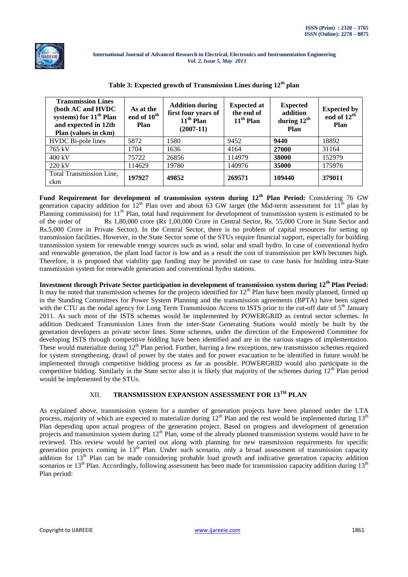

| <b>Transmission Lines</b><br>(both AC and HVDC<br>systems) for 11 <sup>th</sup> Plan<br>and expected in 12th<br>Plan (values in ckm) | As at the<br>end of 10 <sup>th</sup><br>Plan | <b>Addition during</b><br>first four years of<br>$11th$ Plan<br>$(2007-11)$ | <b>Expected at</b><br>the end of<br>$11th$ Plan | <b>Expected</b><br>addition<br>during $12^{\text{th}}$<br>Plan | <b>Expected by</b><br>end of 12 <sup>th</sup><br>Plan |
|--------------------------------------------------------------------------------------------------------------------------------------|----------------------------------------------|-----------------------------------------------------------------------------|-------------------------------------------------|----------------------------------------------------------------|-------------------------------------------------------|
| HVDC Bi-pole lines                                                                                                                   | 5872                                         | 1580                                                                        | 9452                                            | 9440                                                           | 18892                                                 |
| 765 kV                                                                                                                               | 1704                                         | 1636                                                                        | 4164                                            | 27000                                                          | 31164                                                 |
| $400 \text{ kV}$                                                                                                                     | 75722                                        | 26856                                                                       | 114979                                          | 38000                                                          | 152979                                                |
| 220 kV                                                                                                                               | 114629                                       | 19780                                                                       | 140976                                          | 35000                                                          | 175976                                                |
| Total Transmission Line,<br>ckm                                                                                                      | 197927                                       | 49852                                                                       | 269571                                          | 109440                                                         | 379011                                                |

#### **Table 3: Expected growth of Transmission Lines during 12th plan**

**Fund Requirement for development of transmission system during 12th Plan Period:** Considering 76 GW generation capacity addition for  $12<sup>th</sup>$  Plan over and about 63 GW target (the Mid-term assessment for  $11<sup>th</sup>$  plan by Planning commission) for  $11<sup>th</sup>$  Plan, total fund requirement for development of transmission system is estimated to be of the order of Rs 1,80,000 crore (Rs 1,00,000 Crore in Central Sector, Rs. 55,000 Crore in State Sector and Rs.5,000 Crore in Private Sector). In the Central Sector, there is no problem of capital resources for setting up transmission facilities. However, in the State Sector some of the STUs require financial support, especially for building transmission system for renewable energy sources such as wind, solar and small hydro. In case of conventional hydro and renewable generation, the plant load factor is low and as a result the cost of transmission per kWh becomes high. Therefore, it is proposed that viability gap funding may be provided on case to case basis for building intra-State transmission system for renewable generation and conventional hydro stations.

**Investment through Private Sector participation in development of transmission system during 12th Plan Period:**  It may be noted that transmission schemes for the projects identified for  $12<sup>th</sup>$  Plan have been mostly planned, firmed up in the Standing Committees for Power System Planning and the transmission agreements (BPTA) have been signed with the CTU as the nodal agency for Long Term Transmission Access to ISTS prior to the cut-off date of  $5<sup>th</sup>$  January 2011. As such most of the ISTS schemes would be implemented by POWERGRID as central sector schemes. In addition Dedicated Transmission Lines from the inter-State Generating Stations would mostly be built by the generation developers as private sector lines. Some schemes, under the direction of the Empowered Committee for developing ISTS through competitive bidding have been identified and are in the various stages of implementation. These would materialize during 12<sup>th</sup> Plan period. Further, barring a few exceptions, new transmission schemes required for system strengthening, drawl of power by the states and for power evacuation to be identified in future would be implemented through competitive bidding process as far as possible. POWERGRID would also participate in the competitive bidding. Similarly in the State sector also it is likely that majority of the schemes during  $12<sup>th</sup>$  Plan period would be implemented by the STUs.

## XII. **TRANSMISSION EXPANSION ASSESSMENT FOR 13TH PLAN**

As explained above, transmission system for a number of generation projects have been planned under the LTA process, majority of which are expected to materialize during  $12<sup>th</sup>$  Plan and the rest would be implemented during  $13<sup>th</sup>$ Plan depending upon actual progress of the generation project. Based on progress and development of generation projects and transmission system during  $12<sup>th</sup>$  Plan, some of the already planned transmission systems would have to be reviewed. This review would be carried out along with planning for new transmission requirements for specific generation projects coming in 13<sup>th</sup> Plan. Under such scenario, only a broad assessment of transmission capacity addition for 13<sup>th</sup> Plan can be made considering probable load growth and indicative generation capacity addition scenarios or  $13<sup>th</sup>$  Plan. Accordingly, following assessment has been made for transmission capacity addition during  $13<sup>th</sup>$ Plan period: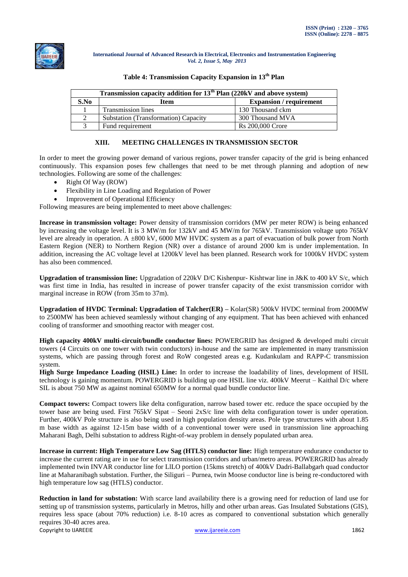

| Transmission capacity addition for $13th$ Plan (220kV and above system) |                                      |                                |  |
|-------------------------------------------------------------------------|--------------------------------------|--------------------------------|--|
| S.No                                                                    | Item                                 | <b>Expansion</b> / requirement |  |
|                                                                         | <b>Transmission lines</b>            | 130 Thousand ckm               |  |
|                                                                         | Substation (Transformation) Capacity | 300 Thousand MVA               |  |
|                                                                         | Fund requirement                     | <b>Rs</b> 200,000 Crore        |  |

#### **Table 4: Transmission Capacity Expansion in 13th Plan**

## **XIII. MEETING CHALLENGES IN TRANSMISSION SECTOR**

In order to meet the growing power demand of various regions, power transfer capacity of the grid is being enhanced continuously. This expansion poses few challenges that need to be met through planning and adoption of new technologies. Following are some of the challenges:

- Right Of Way (ROW)
- Flexibility in Line Loading and Regulation of Power
- Improvement of Operational Efficiency

Following measures are being implemented to meet above challenges:

**Increase in transmission voltage:** Power density of transmission corridors (MW per meter ROW) is being enhanced by increasing the voltage level. It is 3 MW/m for 132kV and 45 MW/m for 765kV. Transmission voltage upto 765kV level are already in operation. A  $\pm 800$  kV, 6000 MW HVDC system as a part of evacuation of bulk power from North Eastern Region (NER) to Northern Region (NR) over a distance of around 2000 km is under implementation. In addition, increasing the AC voltage level at 1200kV level has been planned. Research work for 1000kV HVDC system has also been commenced.

**Upgradation of transmission line:** Upgradation of 220kV D/C Kishenpur- Kishtwar line in J&K to 400 kV S/c, which was first time in India, has resulted in increase of power transfer capacity of the exist transmission corridor with marginal increase in ROW (from 35m to 37m).

**Upgradation of HVDC Terminal: Upgradation of Talcher(ER) –** Kolar(SR) 500kV HVDC terminal from 2000MW to 2500MW has been achieved seamlessly without changing of any equipment. That has been achieved with enhanced cooling of transformer and smoothing reactor with meager cost.

**High capacity 400kV multi-circuit/bundle conductor lines:** POWERGRID has designed & developed multi circuit towers (4 Circuits on one tower with twin conductors) in-house and the same are implemented in many transmission systems, which are passing through forest and RoW congested areas e.g. Kudankulam and RAPP-C transmission system.

**High Surge Impedance Loading (HSIL) Line:** In order to increase the loadability of lines, development of HSIL technology is gaining momentum. POWERGRID is building up one HSIL line viz. 400kV Meerut – Kaithal D/c where SIL is about 750 MW as against nominal 650MW for a normal quad bundle conductor line.

**Compact towers:** Compact towers like delta configuration, narrow based tower etc. reduce the space occupied by the tower base are being used. First 765kV Sipat – Seoni 2xS/c line with delta configuration tower is under operation. Further, 400kV Pole structure is also being used in high population density areas. Pole type structures with about 1.85 m base width as against 12-15m base width of a conventional tower were used in transmission line approaching Maharani Bagh, Delhi substation to address Right-of-way problem in densely populated urban area.

**Increase in current: High Temperature Low Sag (HTLS) conductor line:** High temperature endurance conductor to increase the current rating are in use for select transmission corridors and urban/metro areas. POWERGRID has already implemented twin INVAR conductor line for LlLO portion (15kms stretch) of 400kV Dadri-Ballabgarh quad conductor line at Maharanibagh substation. Further, the Siliguri – Purnea, twin Moose conductor line is being re-conductored with high temperature low sag (HTLS) conductor.

Copyright to IJAREEIE [www.ijareeie.com](http://www.ijareeie.com/) 1862 **Reduction in land for substation:** With scarce land availability there is a growing need for reduction of land use for setting up of transmission systems, particularly in Metros, hilly and other urban areas. Gas Insulated Substations (GIS), requires less space (about 70% reduction) i.e. 8-10 acres as compared to conventional substation which generally requires 30-40 acres area.